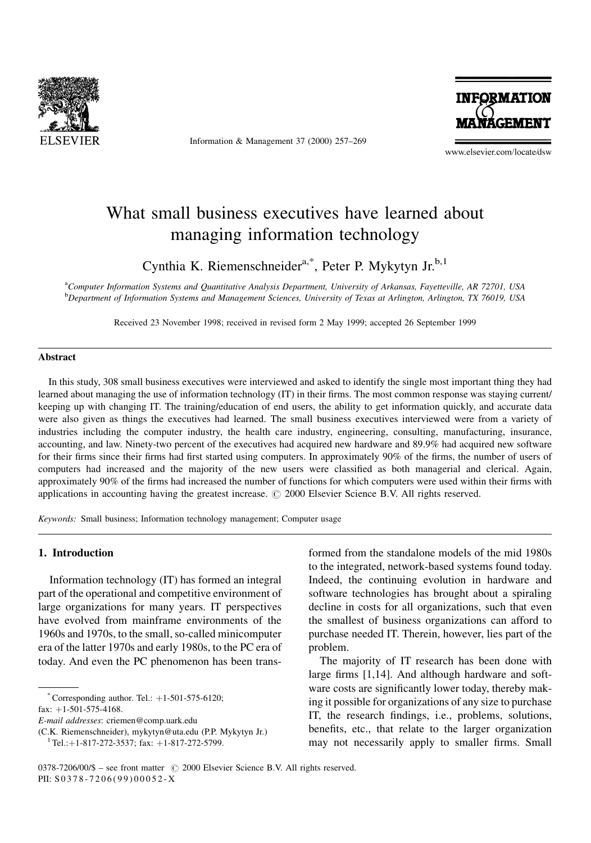

Information & Management 37 (2000) 257-269



www.elsevier.com/locate/dsw

# What small business executives have learned about managing information technology

Cynthia K. Riemenschneider<sup>a,\*</sup>, Peter P. Mykytyn Jr.<sup>b,1</sup>

a Computer Information Systems and Quantitative Analysis Department, University of Arkansas, Fayetteville, AR 72701, USA **b** Department of Information Systems and Management Sciences, University of Texas at Arlington, Arlington, TX 76019, USA

Received 23 November 1998; received in revised form 2 May 1999; accepted 26 September 1999

### Abstract

In this study, 308 small business executives were interviewed and asked to identify the single most important thing they had learned about managing the use of information technology (IT) in their firms. The most common response was staying current/ keeping up with changing IT. The training/education of end users, the ability to get information quickly, and accurate data were also given as things the executives had learned. The small business executives interviewed were from a variety of industries including the computer industry, the health care industry, engineering, consulting, manufacturing, insurance, accounting, and law. Ninety-two percent of the executives had acquired new hardware and 89.9% had acquired new software for their firms since their firms had first started using computers. In approximately 90% of the firms, the number of users of computers had increased and the majority of the new users were classified as both managerial and clerical. Again, approximately 90% of the firms had increased the number of functions for which computers were used within their firms with applications in accounting having the greatest increase.  $\odot$  2000 Elsevier Science B.V. All rights reserved.

Keywords: Small business; Information technology management; Computer usage

#### 1. Introduction

Information technology (IT) has formed an integral part of the operational and competitive environment of large organizations for many years. IT perspectives have evolved from mainframe environments of the 1960s and 1970s, to the small, so-called minicomputer era of the latter 1970s and early 1980s, to the PC era of today. And even the PC phenomenon has been trans-

\* Corresponding author. Tel.:  $+1-501-575-6120$ ;

fax:  $+1-501-575-4168$ .

formed from the standalone models of the mid 1980s to the integrated, network-based systems found today. Indeed, the continuing evolution in hardware and software technologies has brought about a spiraling decline in costs for all organizations, such that even the smallest of business organizations can afford to purchase needed IT. Therein, however, lies part of the problem.

The majority of IT research has been done with large firms  $[1,14]$ . And although hardware and software costs are significantly lower today, thereby making it possible for organizations of any size to purchase IT, the research findings, i.e., problems, solutions, benefits, etc., that relate to the larger organization may not necessarily apply to smaller firms. Small

E-mail addresses: criemen@comp.uark.edu

<sup>(</sup>C.K. Riemenschneider), mykytyn@uta.edu (P.P. Mykytyn Jr.) <sup>1</sup> Tel.:+1-817-272-3537; fax: +1-817-272-5799.

 $0378-7206/00/\$$  - see front matter  $\degree$  2000 Elsevier Science B.V. All rights reserved. PII: S 0378-7206(99)00052-X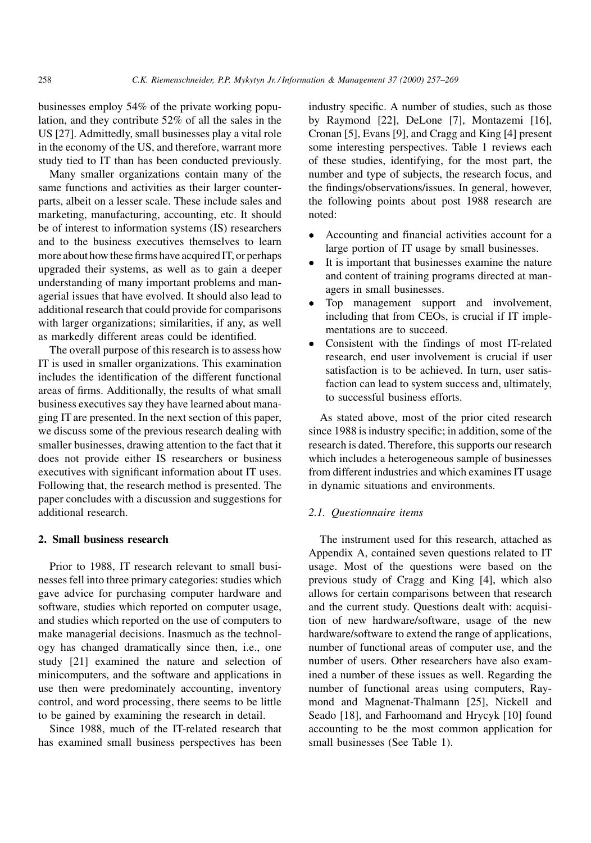businesses employ 54% of the private working population, and they contribute 52% of all the sales in the US [27]. Admittedly, small businesses play a vital role in the economy of the US, and therefore, warrant more study tied to IT than has been conducted previously.

Many smaller organizations contain many of the same functions and activities as their larger counterparts, albeit on a lesser scale. These include sales and marketing, manufacturing, accounting, etc. It should be of interest to information systems (IS) researchers and to the business executives themselves to learn more about how these firms have acquired IT, or perhaps upgraded their systems, as well as to gain a deeper understanding of many important problems and managerial issues that have evolved. It should also lead to additional research that could provide for comparisons with larger organizations; similarities, if any, as well as markedly different areas could be identified.

The overall purpose of this research is to assess how IT is used in smaller organizations. This examination includes the identification of the different functional areas of firms. Additionally, the results of what small business executives say they have learned about managing IT are presented. In the next section of this paper, we discuss some of the previous research dealing with smaller businesses, drawing attention to the fact that it does not provide either IS researchers or business executives with significant information about IT uses. Following that, the research method is presented. The paper concludes with a discussion and suggestions for additional research.

#### 2. Small business research

Prior to 1988, IT research relevant to small businesses fell into three primary categories: studies which gave advice for purchasing computer hardware and software, studies which reported on computer usage, and studies which reported on the use of computers to make managerial decisions. Inasmuch as the technology has changed dramatically since then, i.e., one study [21] examined the nature and selection of minicomputers, and the software and applications in use then were predominately accounting, inventory control, and word processing, there seems to be little to be gained by examining the research in detail.

Since 1988, much of the IT-related research that has examined small business perspectives has been

industry specific. A number of studies, such as those by Raymond [22], DeLone [7], Montazemi [16], Cronan [5], Evans [9], and Cragg and King [4] present some interesting perspectives. Table 1 reviews each of these studies, identifying, for the most part, the number and type of subjects, the research focus, and the findings/observations/issues. In general, however, the following points about post 1988 research are noted:

- Accounting and financial activities account for a large portion of IT usage by small businesses.
- It is important that businesses examine the nature and content of training programs directed at managers in small businesses.
- Top management support and involvement, including that from CEOs, is crucial if IT implementations are to succeed.
- Consistent with the findings of most IT-related research, end user involvement is crucial if user satisfaction is to be achieved. In turn, user satisfaction can lead to system success and, ultimately, to successful business efforts.

As stated above, most of the prior cited research since 1988 is industry specific; in addition, some of the research is dated. Therefore, this supports our research which includes a heterogeneous sample of businesses from different industries and which examines IT usage in dynamic situations and environments.

## 2.1. Questionnaire items

The instrument used for this research, attached as Appendix A, contained seven questions related to IT usage. Most of the questions were based on the previous study of Cragg and King [4], which also allows for certain comparisons between that research and the current study. Questions dealt with: acquisition of new hardware/software, usage of the new hardware/software to extend the range of applications, number of functional areas of computer use, and the number of users. Other researchers have also examined a number of these issues as well. Regarding the number of functional areas using computers, Raymond and Magnenat-Thalmann [25], Nickell and Seado [18], and Farhoomand and Hrycyk [10] found accounting to be the most common application for small businesses (See Table 1).